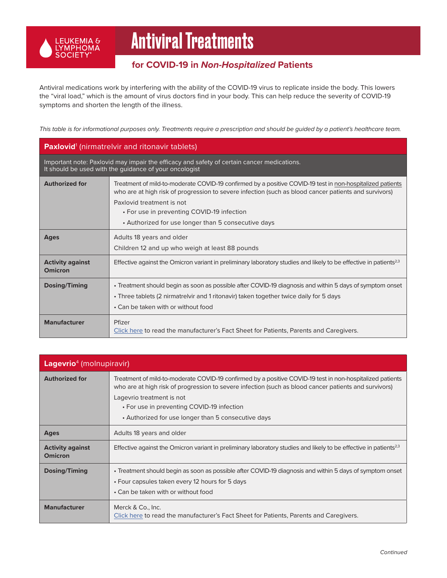

## Antiviral Treatments

## **for COVID-19 in** *Non-Hospitalized* **Patients**

Antiviral medications work by interfering with the ability of the COVID-19 virus to replicate inside the body. This lowers the "viral load," which is the amount of virus doctors find in your body. This can help reduce the severity of COVID-19 symptoms and shorten the length of the illness.

*This table is for informational purposes only. Treatments require a prescription and should be guided by a patient's healthcare team.*

| <b>Paxlovid</b> <sup>1</sup> (nirmatrelvir and ritonavir tablets)                                                                                    |                                                                                                                                                                                                                                                                                                                                                      |  |
|------------------------------------------------------------------------------------------------------------------------------------------------------|------------------------------------------------------------------------------------------------------------------------------------------------------------------------------------------------------------------------------------------------------------------------------------------------------------------------------------------------------|--|
| Important note: Paxlovid may impair the efficacy and safety of certain cancer medications.<br>It should be used with the guidance of your oncologist |                                                                                                                                                                                                                                                                                                                                                      |  |
| <b>Authorized for</b>                                                                                                                                | Treatment of mild-to-moderate COVID-19 confirmed by a positive COVID-19 test in non-hospitalized patients<br>who are at high risk of progression to severe infection (such as blood cancer patients and survivors)<br>Paxlovid treatment is not<br>• For use in preventing COVID-19 infection<br>• Authorized for use longer than 5 consecutive days |  |
| <b>Ages</b>                                                                                                                                          | Adults 18 years and older<br>Children 12 and up who weigh at least 88 pounds                                                                                                                                                                                                                                                                         |  |
| <b>Activity against</b><br>Omicron                                                                                                                   | Effective against the Omicron variant in preliminary laboratory studies and likely to be effective in patients <sup>2,3</sup>                                                                                                                                                                                                                        |  |
| Dosing/Timing                                                                                                                                        | • Treatment should begin as soon as possible after COVID-19 diagnosis and within 5 days of symptom onset<br>• Three tablets (2 nirmatrelvir and 1 ritonavir) taken together twice daily for 5 days<br>• Can be taken with or without food                                                                                                            |  |
| <b>Manufacturer</b>                                                                                                                                  | Pfizer<br>Click here to read the manufacturer's Fact Sheet for Patients, Parents and Caregivers.                                                                                                                                                                                                                                                     |  |

| Lagevrio <sup>4</sup> (molnupiravir)      |                                                                                                                                                                                                                                                                                                                                                      |
|-------------------------------------------|------------------------------------------------------------------------------------------------------------------------------------------------------------------------------------------------------------------------------------------------------------------------------------------------------------------------------------------------------|
| <b>Authorized for</b>                     | Treatment of mild-to-moderate COVID-19 confirmed by a positive COVID-19 test in non-hospitalized patients<br>who are at high risk of progression to severe infection (such as blood cancer patients and survivors)<br>Lagevrio treatment is not<br>• For use in preventing COVID-19 infection<br>• Authorized for use longer than 5 consecutive days |
| Ages                                      | Adults 18 years and older                                                                                                                                                                                                                                                                                                                            |
| <b>Activity against</b><br><b>Omicron</b> | Effective against the Omicron variant in preliminary laboratory studies and likely to be effective in patients <sup>2,3</sup>                                                                                                                                                                                                                        |
| Dosing/Timing                             | • Treatment should begin as soon as possible after COVID-19 diagnosis and within 5 days of symptom onset<br>• Four capsules taken every 12 hours for 5 days<br>• Can be taken with or without food                                                                                                                                                   |
| <b>Manufacturer</b>                       | Merck & Co., Inc.<br>Click here to read the manufacturer's Fact Sheet for Patients, Parents and Caregivers.                                                                                                                                                                                                                                          |